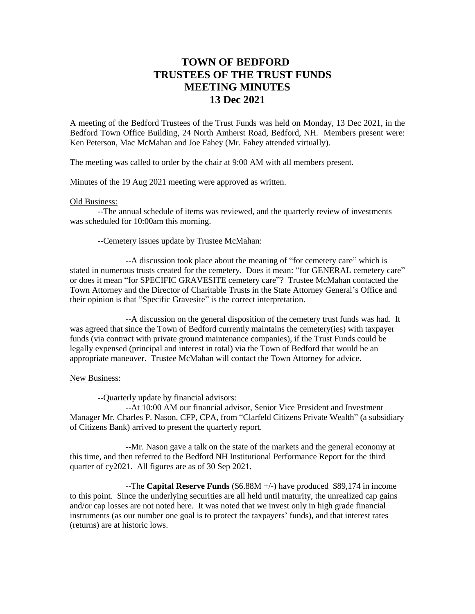## **TOWN OF BEDFORD TRUSTEES OF THE TRUST FUNDS MEETING MINUTES 13 Dec 2021**

A meeting of the Bedford Trustees of the Trust Funds was held on Monday, 13 Dec 2021, in the Bedford Town Office Building, 24 North Amherst Road, Bedford, NH. Members present were: Ken Peterson, Mac McMahan and Joe Fahey (Mr. Fahey attended virtually).

The meeting was called to order by the chair at 9:00 AM with all members present.

Minutes of the 19 Aug 2021 meeting were approved as written.

## Old Business:

--The annual schedule of items was reviewed, and the quarterly review of investments was scheduled for 10:00am this morning.

--Cemetery issues update by Trustee McMahan:

--A discussion took place about the meaning of "for cemetery care" which is stated in numerous trusts created for the cemetery. Does it mean: "for GENERAL cemetery care" or does it mean "for SPECIFIC GRAVESITE cemetery care"? Trustee McMahan contacted the Town Attorney and the Director of Charitable Trusts in the State Attorney General's Office and their opinion is that "Specific Gravesite" is the correct interpretation.

--A discussion on the general disposition of the cemetery trust funds was had. It was agreed that since the Town of Bedford currently maintains the cemetery(ies) with taxpayer funds (via contract with private ground maintenance companies), if the Trust Funds could be legally expensed (principal and interest in total) via the Town of Bedford that would be an appropriate maneuver. Trustee McMahan will contact the Town Attorney for advice.

## New Business:

--Quarterly update by financial advisors:

--At 10:00 AM our financial advisor, Senior Vice President and Investment Manager Mr. Charles P. Nason, CFP, CPA, from "Clarfeld Citizens Private Wealth" (a subsidiary of Citizens Bank) arrived to present the quarterly report.

--Mr. Nason gave a talk on the state of the markets and the general economy at this time, and then referred to the Bedford NH Institutional Performance Report for the third quarter of cy2021. All figures are as of 30 Sep 2021.

--The **Capital Reserve Funds** (\$6.88M +/-) have produced \$89,174 in income to this point. Since the underlying securities are all held until maturity, the unrealized cap gains and/or cap losses are not noted here. It was noted that we invest only in high grade financial instruments (as our number one goal is to protect the taxpayers' funds), and that interest rates (returns) are at historic lows.